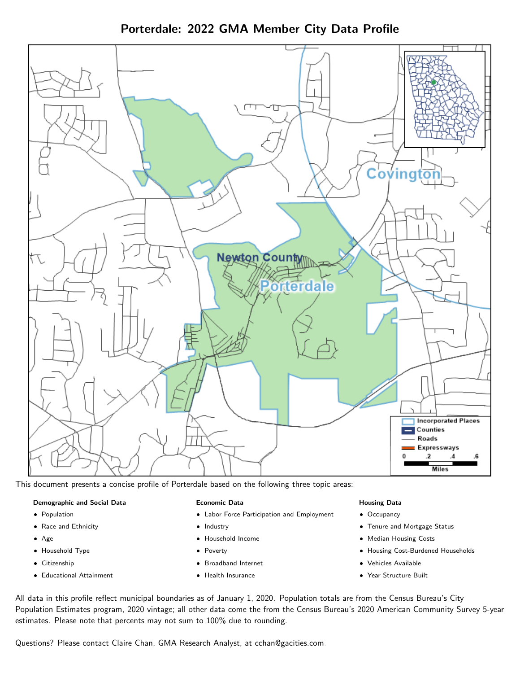Porterdale: 2022 GMA Member City Data Profile



This document presents a concise profile of Porterdale based on the following three topic areas:

#### Demographic and Social Data

- **•** Population
- Race and Ethnicity
- Age
- Household Type
- **Citizenship**
- Educational Attainment

#### Economic Data

- Labor Force Participation and Employment
- Industry
- Household Income
- Poverty
- Broadband Internet
- Health Insurance

#### Housing Data

- Occupancy
- Tenure and Mortgage Status
- Median Housing Costs
- Housing Cost-Burdened Households
- Vehicles Available
- Year Structure Built

All data in this profile reflect municipal boundaries as of January 1, 2020. Population totals are from the Census Bureau's City Population Estimates program, 2020 vintage; all other data come the from the Census Bureau's 2020 American Community Survey 5-year estimates. Please note that percents may not sum to 100% due to rounding.

Questions? Please contact Claire Chan, GMA Research Analyst, at [cchan@gacities.com.](mailto:cchan@gacities.com)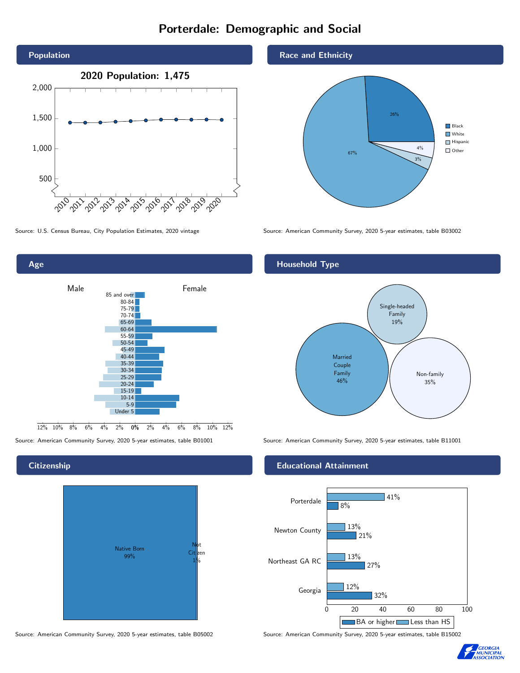# Porterdale: Demographic and Social



Age 0% 2% 4% 6% 8% 10% 12% Male **Female**  $12\%$  10% 8% 6% 4% 85 and over 80-84 75-79 70-74 65-69 60-64 55-59 50-54 45-49 40-44 35-39 30-34 25-29 20-24 15-19 10-14 5-9 Under 5

#### **Citizenship**



Source: American Community Survey, 2020 5-year estimates, table B05002 Source: American Community Survey, 2020 5-year estimates, table B15002

#### Race and Ethnicity



Source: U.S. Census Bureau, City Population Estimates, 2020 vintage Source: American Community Survey, 2020 5-year estimates, table B03002

#### Household Type



Source: American Community Survey, 2020 5-year estimates, table B01001 Source: American Community Survey, 2020 5-year estimates, table B11001

#### Educational Attainment



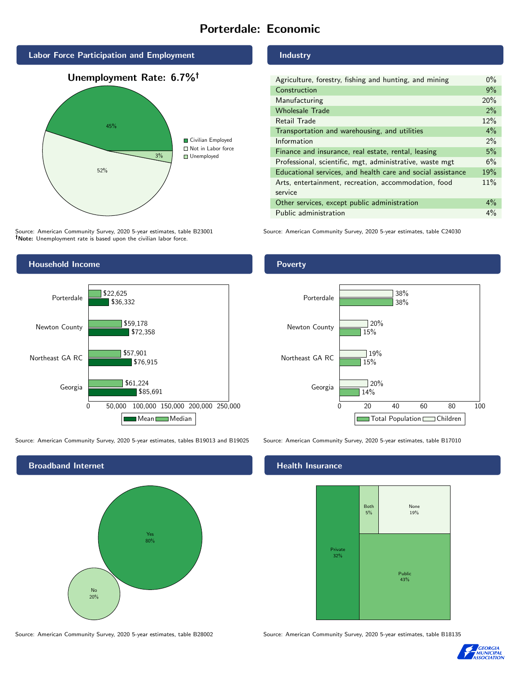# Porterdale: Economic



Source: American Community Survey, 2020 5-year estimates, table B23001 Note: Unemployment rate is based upon the civilian labor force.

#### Industry

| Agriculture, forestry, fishing and hunting, and mining      | $0\%$ |
|-------------------------------------------------------------|-------|
| Construction                                                | 9%    |
| Manufacturing                                               | 20%   |
| <b>Wholesale Trade</b>                                      | 2%    |
| Retail Trade                                                | 12%   |
| Transportation and warehousing, and utilities               | $4\%$ |
| Information                                                 | 2%    |
| Finance and insurance, real estate, rental, leasing         | 5%    |
| Professional, scientific, mgt, administrative, waste mgt    | 6%    |
| Educational services, and health care and social assistance | 19%   |
| Arts, entertainment, recreation, accommodation, food        | 11%   |
| service                                                     |       |
| Other services, except public administration                | $4\%$ |
| Public administration                                       | $4\%$ |

Source: American Community Survey, 2020 5-year estimates, table C24030



Source: American Community Survey, 2020 5-year estimates, tables B19013 and B19025 Source: American Community Survey, 2020 5-year estimates, table B17010



Source: American Community Survey, 2020 5-year estimates, table B28002 Source: American Community Survey, 2020 5-year estimates, table B18135

Poverty



#### Health Insurance



![](_page_2_Picture_16.jpeg)